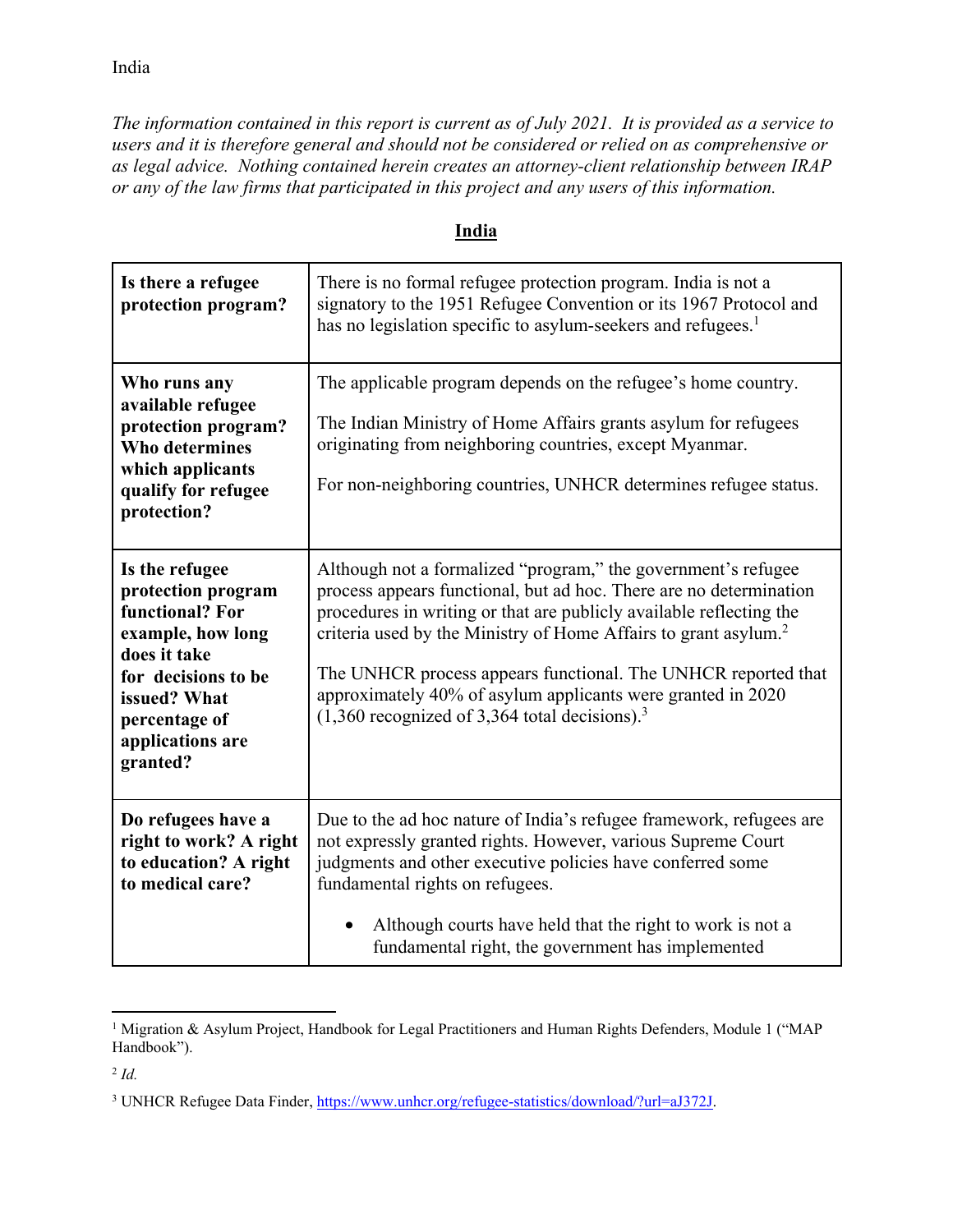India

*The information contained in this report is current as of July 2021. It is provided as a service to users and it is therefore general and should not be considered or relied on as comprehensive or as legal advice. Nothing contained herein creates an attorney-client relationship between IRAP or any of the law firms that participated in this project and any users of this information.* 

| Is there a refugee<br>protection program?                                                                                                                                            | There is no formal refugee protection program. India is not a<br>signatory to the 1951 Refugee Convention or its 1967 Protocol and<br>has no legislation specific to asylum-seekers and refugees. <sup>1</sup>                                                                                                                                                                                                                                                                           |
|--------------------------------------------------------------------------------------------------------------------------------------------------------------------------------------|------------------------------------------------------------------------------------------------------------------------------------------------------------------------------------------------------------------------------------------------------------------------------------------------------------------------------------------------------------------------------------------------------------------------------------------------------------------------------------------|
| Who runs any<br>available refugee<br>protection program?<br><b>Who determines</b><br>which applicants<br>qualify for refugee<br>protection?                                          | The applicable program depends on the refugee's home country.<br>The Indian Ministry of Home Affairs grants asylum for refugees<br>originating from neighboring countries, except Myanmar.<br>For non-neighboring countries, UNHCR determines refugee status.                                                                                                                                                                                                                            |
| Is the refugee<br>protection program<br>functional? For<br>example, how long<br>does it take<br>for decisions to be<br>issued? What<br>percentage of<br>applications are<br>granted? | Although not a formalized "program," the government's refugee<br>process appears functional, but ad hoc. There are no determination<br>procedures in writing or that are publicly available reflecting the<br>criteria used by the Ministry of Home Affairs to grant asylum. <sup>2</sup><br>The UNHCR process appears functional. The UNHCR reported that<br>approximately 40% of asylum applicants were granted in 2020<br>$(1,360$ recognized of 3,364 total decisions). <sup>3</sup> |
| Do refugees have a<br>right to work? A right<br>to education? A right<br>to medical care?                                                                                            | Due to the ad hoc nature of India's refugee framework, refugees are<br>not expressly granted rights. However, various Supreme Court<br>judgments and other executive policies have conferred some<br>fundamental rights on refugees.<br>Although courts have held that the right to work is not a<br>fundamental right, the government has implemented                                                                                                                                   |

## **India**

 $\overline{a}$ <sup>1</sup> Migration & Asylum Project, Handbook for Legal Practitioners and Human Rights Defenders, Module 1 ("MAP Handbook").

<sup>2</sup> *Id.*

<sup>&</sup>lt;sup>3</sup> UNHCR Refugee Data Finder, https://www.unhcr.org/refugee-statistics/download/?url=aJ372J.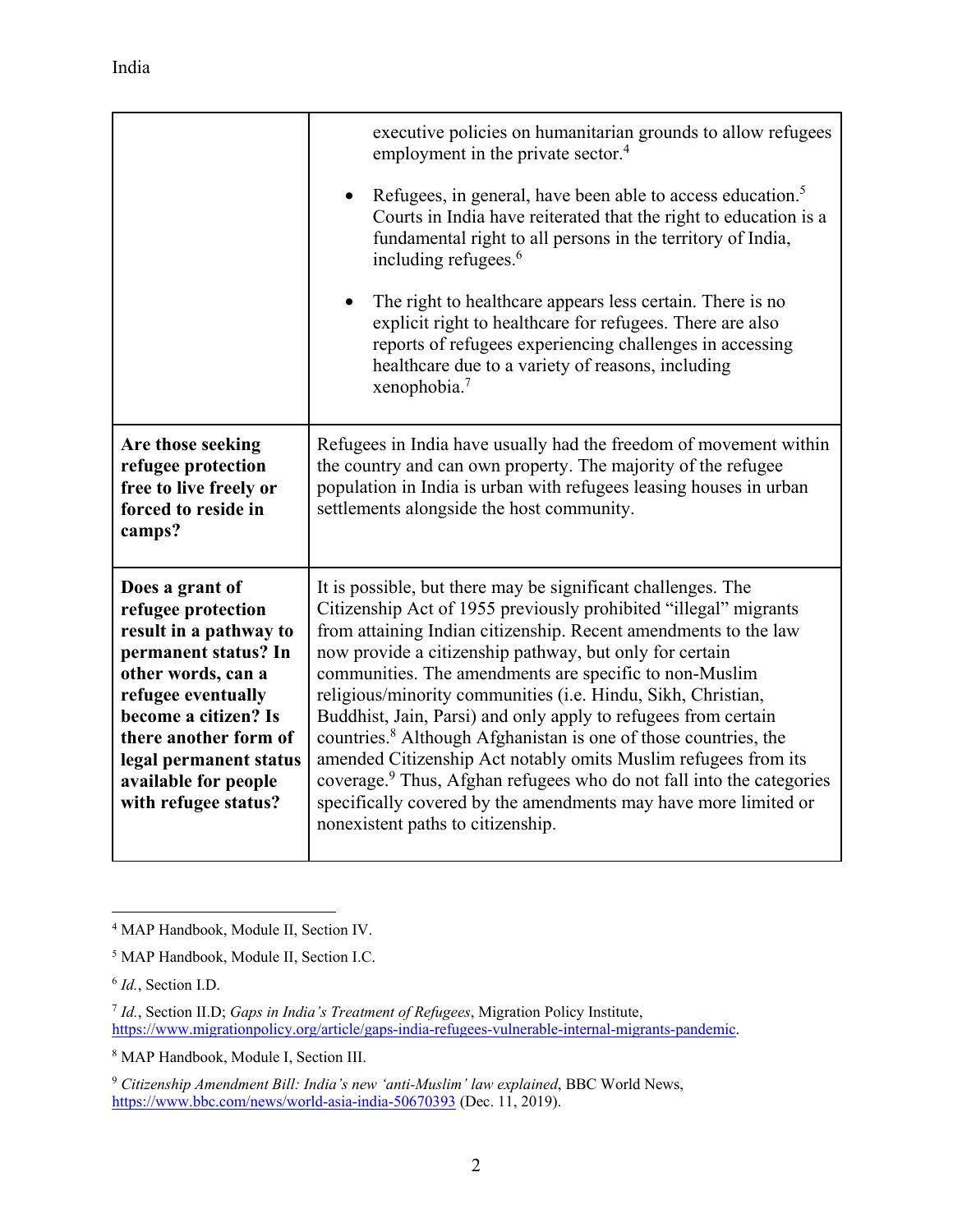|                                                                                                                                                                                                                                                                | executive policies on humanitarian grounds to allow refugees<br>employment in the private sector. <sup>4</sup><br>Refugees, in general, have been able to access education. <sup>5</sup><br>Courts in India have reiterated that the right to education is a<br>fundamental right to all persons in the territory of India,<br>including refugees. <sup>6</sup><br>The right to healthcare appears less certain. There is no<br>explicit right to healthcare for refugees. There are also<br>reports of refugees experiencing challenges in accessing<br>healthcare due to a variety of reasons, including<br>xenophobia. $7$                                                                                                                                                                           |
|----------------------------------------------------------------------------------------------------------------------------------------------------------------------------------------------------------------------------------------------------------------|---------------------------------------------------------------------------------------------------------------------------------------------------------------------------------------------------------------------------------------------------------------------------------------------------------------------------------------------------------------------------------------------------------------------------------------------------------------------------------------------------------------------------------------------------------------------------------------------------------------------------------------------------------------------------------------------------------------------------------------------------------------------------------------------------------|
| Are those seeking<br>refugee protection<br>free to live freely or<br>forced to reside in<br>camps?                                                                                                                                                             | Refugees in India have usually had the freedom of movement within<br>the country and can own property. The majority of the refugee<br>population in India is urban with refugees leasing houses in urban<br>settlements alongside the host community.                                                                                                                                                                                                                                                                                                                                                                                                                                                                                                                                                   |
| Does a grant of<br>refugee protection<br>result in a pathway to<br>permanent status? In<br>other words, can a<br>refugee eventually<br>become a citizen? Is<br>there another form of<br>legal permanent status<br>available for people<br>with refugee status? | It is possible, but there may be significant challenges. The<br>Citizenship Act of 1955 previously prohibited "illegal" migrants<br>from attaining Indian citizenship. Recent amendments to the law<br>now provide a citizenship pathway, but only for certain<br>communities. The amendments are specific to non-Muslim<br>religious/minority communities (i.e. Hindu, Sikh, Christian,<br>Buddhist, Jain, Parsi) and only apply to refugees from certain<br>countries. <sup>8</sup> Although Afghanistan is one of those countries, the<br>amended Citizenship Act notably omits Muslim refugees from its<br>coverage. <sup>9</sup> Thus, Afghan refugees who do not fall into the categories<br>specifically covered by the amendments may have more limited or<br>nonexistent paths to citizenship. |

 $\overline{a}$ 

<sup>4</sup> MAP Handbook, Module II, Section IV.

<sup>5</sup> MAP Handbook, Module II, Section I.C.

<sup>6</sup> *Id.*, Section I.D.

<sup>7</sup> *Id.*, Section II.D; *Gaps in India's Treatment of Refugees*, Migration Policy Institute, https://www.migrationpolicy.org/article/gaps-india-refugees-vulnerable-internal-migrants-pandemic.

<sup>8</sup> MAP Handbook, Module I, Section III.

<sup>9</sup> *Citizenship Amendment Bill: India's new 'anti-Muslim' law explained*, BBC World News, https://www.bbc.com/news/world-asia-india-50670393 (Dec. 11, 2019).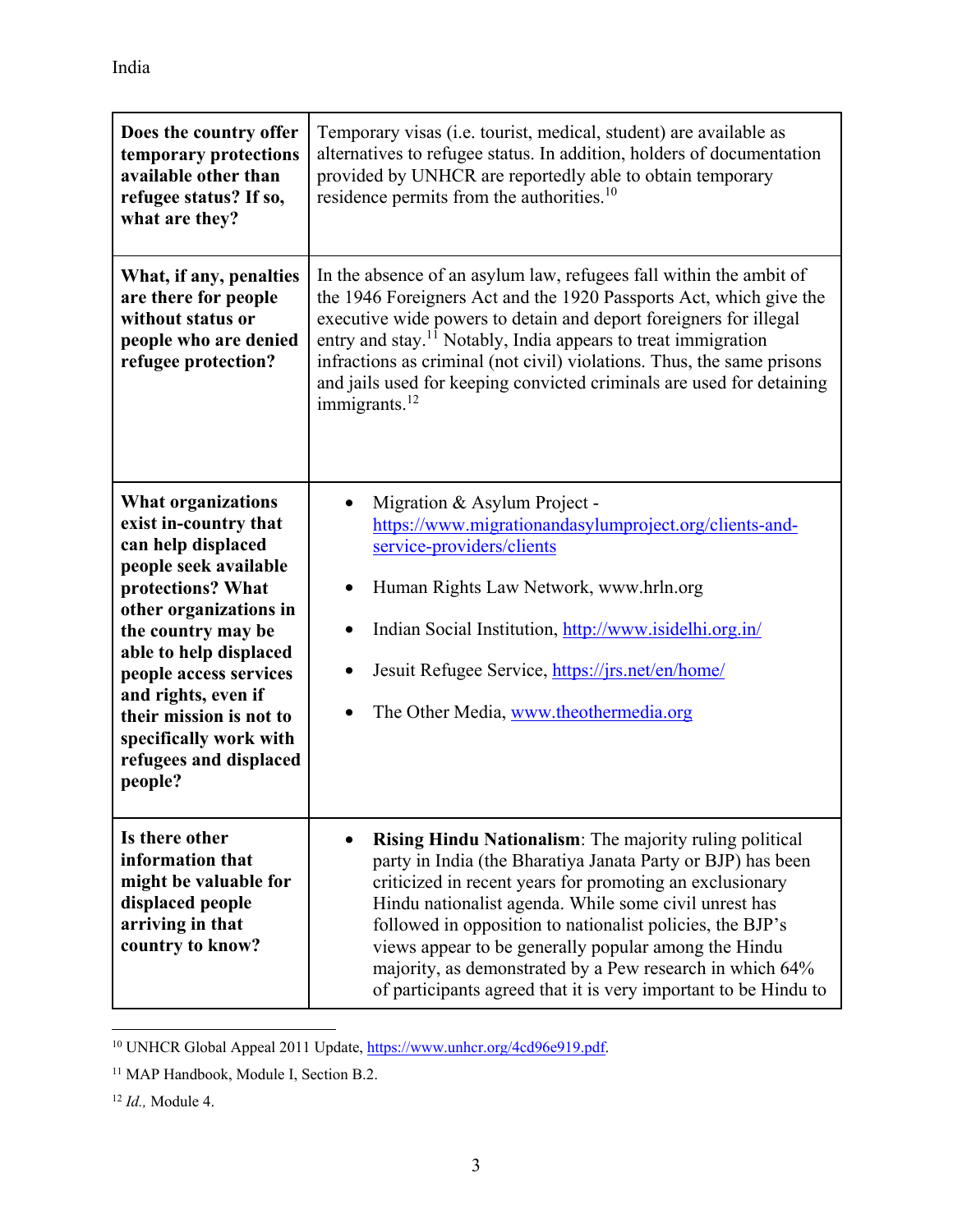| Does the country offer<br>temporary protections<br>available other than<br>refugee status? If so,<br>what are they?                                                                                                                                                                                                                         | Temporary visas (i.e. tourist, medical, student) are available as<br>alternatives to refugee status. In addition, holders of documentation<br>provided by UNHCR are reportedly able to obtain temporary<br>residence permits from the authorities. <sup>10</sup>                                                                                                                                                                                                                                |
|---------------------------------------------------------------------------------------------------------------------------------------------------------------------------------------------------------------------------------------------------------------------------------------------------------------------------------------------|-------------------------------------------------------------------------------------------------------------------------------------------------------------------------------------------------------------------------------------------------------------------------------------------------------------------------------------------------------------------------------------------------------------------------------------------------------------------------------------------------|
| What, if any, penalties<br>are there for people<br>without status or<br>people who are denied<br>refugee protection?                                                                                                                                                                                                                        | In the absence of an asylum law, refugees fall within the ambit of<br>the 1946 Foreigners Act and the 1920 Passports Act, which give the<br>executive wide powers to detain and deport foreigners for illegal<br>entry and stay. <sup>11</sup> Notably, India appears to treat immigration<br>infractions as criminal (not civil) violations. Thus, the same prisons<br>and jails used for keeping convicted criminals are used for detaining<br>immigrants. $^{12}$                            |
| <b>What organizations</b><br>exist in-country that<br>can help displaced<br>people seek available<br>protections? What<br>other organizations in<br>the country may be<br>able to help displaced<br>people access services<br>and rights, even if<br>their mission is not to<br>specifically work with<br>refugees and displaced<br>people? | Migration & Asylum Project -<br>https://www.migrationandasylumproject.org/clients-and-<br>service-providers/clients<br>Human Rights Law Network, www.hrln.org<br>Indian Social Institution, http://www.isidelhi.org.in/<br>Jesuit Refugee Service, https://jrs.net/en/home/<br>The Other Media, www.theothermedia.org                                                                                                                                                                           |
| Is there other<br>information that<br>might be valuable for<br>displaced people<br>arriving in that<br>country to know?                                                                                                                                                                                                                     | Rising Hindu Nationalism: The majority ruling political<br>party in India (the Bharatiya Janata Party or BJP) has been<br>criticized in recent years for promoting an exclusionary<br>Hindu nationalist agenda. While some civil unrest has<br>followed in opposition to nationalist policies, the BJP's<br>views appear to be generally popular among the Hindu<br>majority, as demonstrated by a Pew research in which 64%<br>of participants agreed that it is very important to be Hindu to |

 $\overline{a}$ <sup>10</sup> UNHCR Global Appeal 2011 Update, https://www.unhcr.org/4cd96e919.pdf.

<sup>&</sup>lt;sup>11</sup> MAP Handbook, Module I, Section B.2.

<sup>12</sup> *Id.,* Module 4.